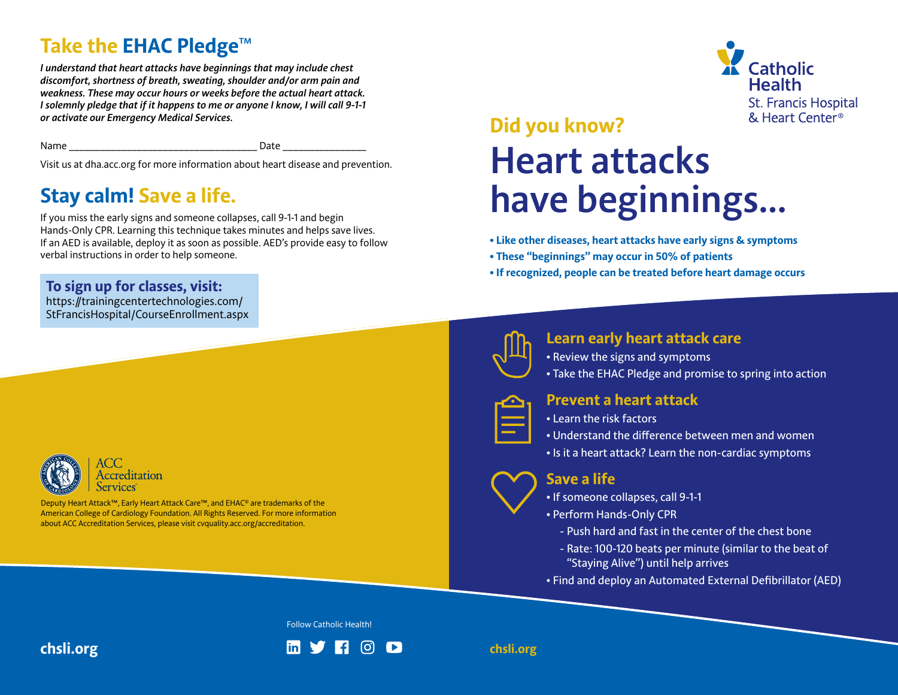## **Take the EHAC Pledge**™

**I dKE LIIE ENAL PIEUSE**<br>I understand that heart attacks have beginnings that may include chest discomfort, shortness of breath, sweating, shoulder and/or arm pain and *weakness. These may occur hours or weeks before the actual heart attack.*  weakness. These may occur nours or weeks before the actual neuri attuck.<br>I solemnly pledge that if it happens to me or anyone I know, I will call 9-1-1 *be activate our Emergency Medical Services.* 

Name \_\_\_\_\_\_\_\_\_\_\_\_\_\_\_\_\_\_\_\_\_\_\_\_\_\_\_\_\_\_\_\_\_\_\_\_ Date \_\_\_\_\_\_\_\_\_\_\_\_\_\_\_\_ **order to help someone.** 

Visit us at dha.acc.org for more information about heart disease and prevention.<br>Change and **Local Cense**r and Life

# visit us at dha.acc.org for more information about heart disease and prevention.<br>**Stay calm! Save a life.**

If you miss the early signs and someone collapses, call 9-1-1 and begin Hands-Only CPR. Learning this technique takes minutes and helps save lives. If an AED is available, deploy it as soon as possible. AED's provide easy to follow **communities on Early Heart Attack Care.**  verbal instructions in order to help someone.

**How can you help share the message?**

**Discover your local ACC Accredited Chest Pain Center:**

**To sign up for classes, visit: To sign up for classes, visit:**  $\overline{\phantom{a}}$ **by share we consider the early respectively.**<br>https://trainingcentertechnologies.com/

**hospital doors will help to save more hearts.**  StFrancisHospital/CourseEnrollment.aspx



Accreditation

Deputy Heart Attack™, Early Heart Attack Care™, and EHAC® are trademarks of the  $\blacksquare$ American College of Cardiology Foundation. All Rights Reserved. For more information please visit cvquality.acc.org/accreditation. about ACC Accreditation Services, please visit cvquality.acc.org/accreditation.



## **Did you know?** Early External Water Center Structure Content Center Structure Content Center Structure Content Center Structure Content Center Structure Content Center Structure Content Center Structure Content Center Str **Heart attacks have beginnings… Preventa Heart Attack • Learn the risk factors • Take the EHAC Pledge and promise to spring into action**

- **Like other diseases, heart attacks have early signs & symptoms Understand the difference between men and women**
- **These "beginnings" may occur in 50% of patients**
- **If recognized, people can be treated before heart damage occurs Savea Life**



#### $\blacksquare$  **Learn early heart attack care**

**• If someone collapses, call 9-1-1**

- Review the signs and symptoms
- Review the signs and symptoms<br>• Take the EHAC Pledge and promise to spring into action<br>—
- 

### **Prevent a heart attack the deliver of cardiovascular cardiovascular cardiovascular cardiovascular cardiovascular c**

- **Learn the risk factors community in the same of the same of the same of the same of the same of the same of the**
- Understand the difference between men and women
- Is it a heart attack? Learn the non-cardiac symptoms

### **Save a life**

- If someone collapses, call 9-1-1
- Perform Hands-Only CPR
	- Push hard and fast in the center of the chest bone
	- Rate: 100-120 beats per minute (similar to the beat of "Staying Alive") until help arrives
- Find and deploy an Automated External Defibrillator (AED)

Follow Catholic Health!

**chsli.org**

**chsli.org**